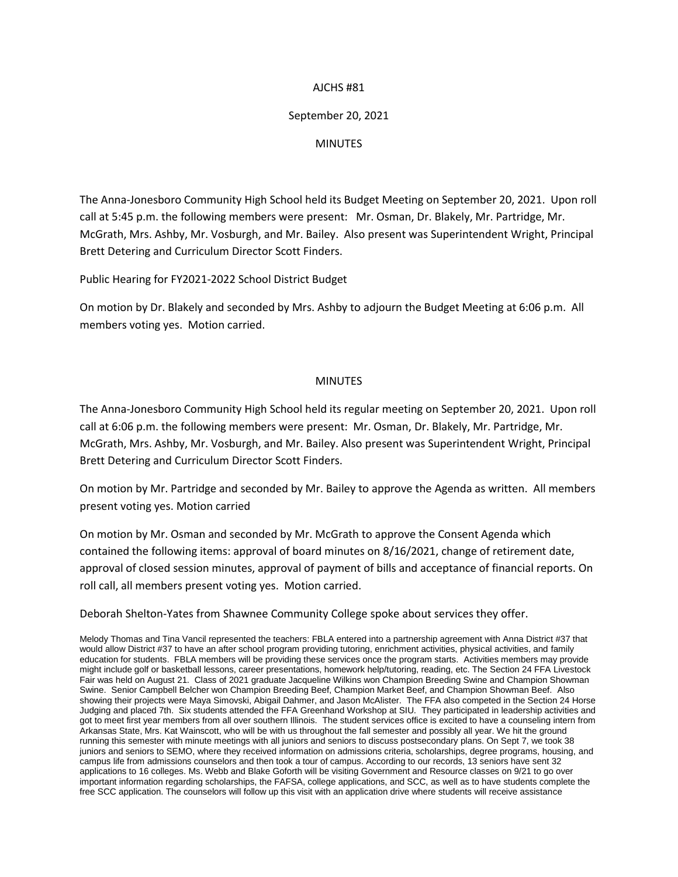## AJCHS #81

## September 20, 2021

## MINUTES

The Anna-Jonesboro Community High School held its Budget Meeting on September 20, 2021. Upon roll call at 5:45 p.m. the following members were present: Mr. Osman, Dr. Blakely, Mr. Partridge, Mr. McGrath, Mrs. Ashby, Mr. Vosburgh, and Mr. Bailey. Also present was Superintendent Wright, Principal Brett Detering and Curriculum Director Scott Finders.

Public Hearing for FY2021-2022 School District Budget

On motion by Dr. Blakely and seconded by Mrs. Ashby to adjourn the Budget Meeting at 6:06 p.m. All members voting yes. Motion carried.

## MINUTES

The Anna-Jonesboro Community High School held its regular meeting on September 20, 2021. Upon roll call at 6:06 p.m. the following members were present: Mr. Osman, Dr. Blakely, Mr. Partridge, Mr. McGrath, Mrs. Ashby, Mr. Vosburgh, and Mr. Bailey. Also present was Superintendent Wright, Principal Brett Detering and Curriculum Director Scott Finders.

On motion by Mr. Partridge and seconded by Mr. Bailey to approve the Agenda as written. All members present voting yes. Motion carried

On motion by Mr. Osman and seconded by Mr. McGrath to approve the Consent Agenda which contained the following items: approval of board minutes on 8/16/2021, change of retirement date, approval of closed session minutes, approval of payment of bills and acceptance of financial reports. On roll call, all members present voting yes. Motion carried.

Deborah Shelton-Yates from Shawnee Community College spoke about services they offer.

Melody Thomas and Tina Vancil represented the teachers: FBLA entered into a partnership agreement with Anna District #37 that would allow District #37 to have an after school program providing tutoring, enrichment activities, physical activities, and family education for students. FBLA members will be providing these services once the program starts. Activities members may provide might include golf or basketball lessons, career presentations, homework help/tutoring, reading, etc. The Section 24 FFA Livestock Fair was held on August 21. Class of 2021 graduate Jacqueline Wilkins won Champion Breeding Swine and Champion Showman Swine. Senior Campbell Belcher won Champion Breeding Beef, Champion Market Beef, and Champion Showman Beef. Also showing their projects were Maya Simovski, Abigail Dahmer, and Jason McAlister. The FFA also competed in the Section 24 Horse Judging and placed 7th. Six students attended the FFA Greenhand Workshop at SIU. They participated in leadership activities and got to meet first year members from all over southern Illinois. The student services office is excited to have a counseling intern from Arkansas State, Mrs. Kat Wainscott, who will be with us throughout the fall semester and possibly all year. We hit the ground running this semester with minute meetings with all juniors and seniors to discuss postsecondary plans. On Sept 7, we took 38 juniors and seniors to SEMO, where they received information on admissions criteria, scholarships, degree programs, housing, and campus life from admissions counselors and then took a tour of campus. According to our records, 13 seniors have sent 32 applications to 16 colleges. Ms. Webb and Blake Goforth will be visiting Government and Resource classes on 9/21 to go over important information regarding scholarships, the FAFSA, college applications, and SCC, as well as to have students complete the free SCC application. The counselors will follow up this visit with an application drive where students will receive assistance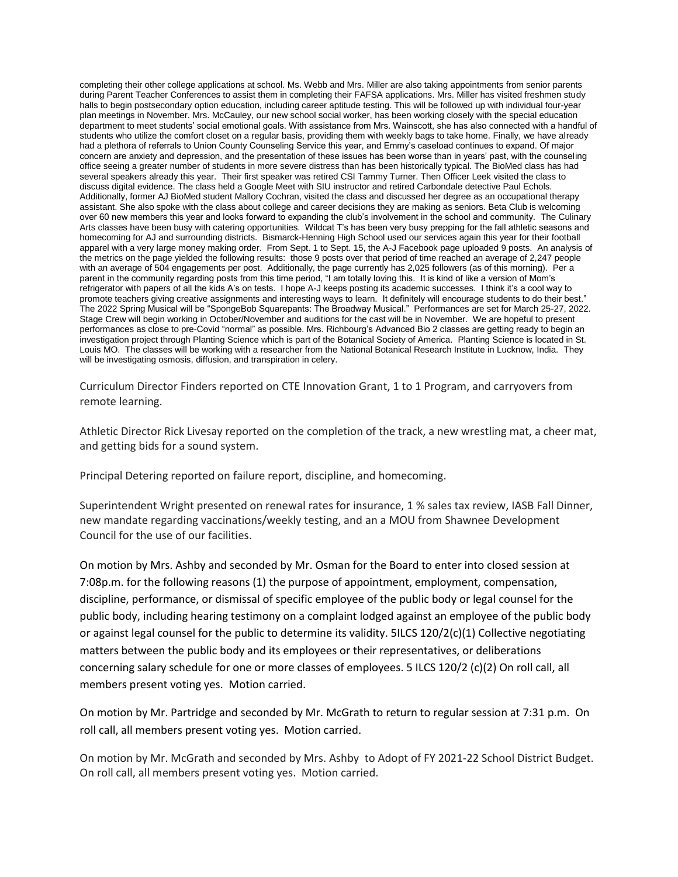completing their other college applications at school. Ms. Webb and Mrs. Miller are also taking appointments from senior parents during Parent Teacher Conferences to assist them in completing their FAFSA applications. Mrs. Miller has visited freshmen study halls to begin postsecondary option education, including career aptitude testing. This will be followed up with individual four-year plan meetings in November. Mrs. McCauley, our new school social worker, has been working closely with the special education department to meet students' social emotional goals. With assistance from Mrs. Wainscott, she has also connected with a handful of students who utilize the comfort closet on a regular basis, providing them with weekly bags to take home. Finally, we have already had a plethora of referrals to Union County Counseling Service this year, and Emmy's caseload continues to expand. Of major concern are anxiety and depression, and the presentation of these issues has been worse than in years' past, with the counseling office seeing a greater number of students in more severe distress than has been historically typical. The BioMed class has had several speakers already this year. Their first speaker was retired CSI Tammy Turner. Then Officer Leek visited the class to discuss digital evidence. The class held a Google Meet with SIU instructor and retired Carbondale detective Paul Echols. Additionally, former AJ BioMed student Mallory Cochran, visited the class and discussed her degree as an occupational therapy assistant. She also spoke with the class about college and career decisions they are making as seniors. Beta Club is welcoming over 60 new members this year and looks forward to expanding the club's involvement in the school and community. The Culinary Arts classes have been busy with catering opportunities. Wildcat T's has been very busy prepping for the fall athletic seasons and homecoming for AJ and surrounding districts. Bismarck-Henning High School used our services again this year for their football apparel with a very large money making order. From Sept. 1 to Sept. 15, the A-J Facebook page uploaded 9 posts. An analysis of the metrics on the page yielded the following results: those 9 posts over that period of time reached an average of 2,247 people with an average of 504 engagements per post. Additionally, the page currently has 2,025 followers (as of this morning). Per a parent in the community regarding posts from this time period, "I am totally loving this. It is kind of like a version of Mom's refrigerator with papers of all the kids A's on tests. I hope A-J keeps posting its academic successes. I think it's a cool way to promote teachers giving creative assignments and interesting ways to learn. It definitely will encourage students to do their best." The 2022 Spring Musical will be "SpongeBob Squarepants: The Broadway Musical." Performances are set for March 25-27, 2022. Stage Crew will begin working in October/November and auditions for the cast will be in November. We are hopeful to present performances as close to pre-Covid "normal" as possible. Mrs. Richbourg's Advanced Bio 2 classes are getting ready to begin an investigation project through Planting Science which is part of the Botanical Society of America. Planting Science is located in St. Louis MO. The classes will be working with a researcher from the National Botanical Research Institute in Lucknow, India. They will be investigating osmosis, diffusion, and transpiration in celery.

Curriculum Director Finders reported on CTE Innovation Grant, 1 to 1 Program, and carryovers from remote learning.

Athletic Director Rick Livesay reported on the completion of the track, a new wrestling mat, a cheer mat, and getting bids for a sound system.

Principal Detering reported on failure report, discipline, and homecoming.

Superintendent Wright presented on renewal rates for insurance, 1 % sales tax review, IASB Fall Dinner, new mandate regarding vaccinations/weekly testing, and an a MOU from Shawnee Development Council for the use of our facilities.

On motion by Mrs. Ashby and seconded by Mr. Osman for the Board to enter into closed session at 7:08p.m. for the following reasons (1) the purpose of appointment, employment, compensation, discipline, performance, or dismissal of specific employee of the public body or legal counsel for the public body, including hearing testimony on a complaint lodged against an employee of the public body or against legal counsel for the public to determine its validity. 5ILCS 120/2(c)(1) Collective negotiating matters between the public body and its employees or their representatives, or deliberations concerning salary schedule for one or more classes of employees. 5 ILCS 120/2 (c)(2) On roll call, all members present voting yes. Motion carried.

On motion by Mr. Partridge and seconded by Mr. McGrath to return to regular session at 7:31 p.m. On roll call, all members present voting yes. Motion carried.

On motion by Mr. McGrath and seconded by Mrs. Ashby to Adopt of FY 2021-22 School District Budget. On roll call, all members present voting yes. Motion carried.